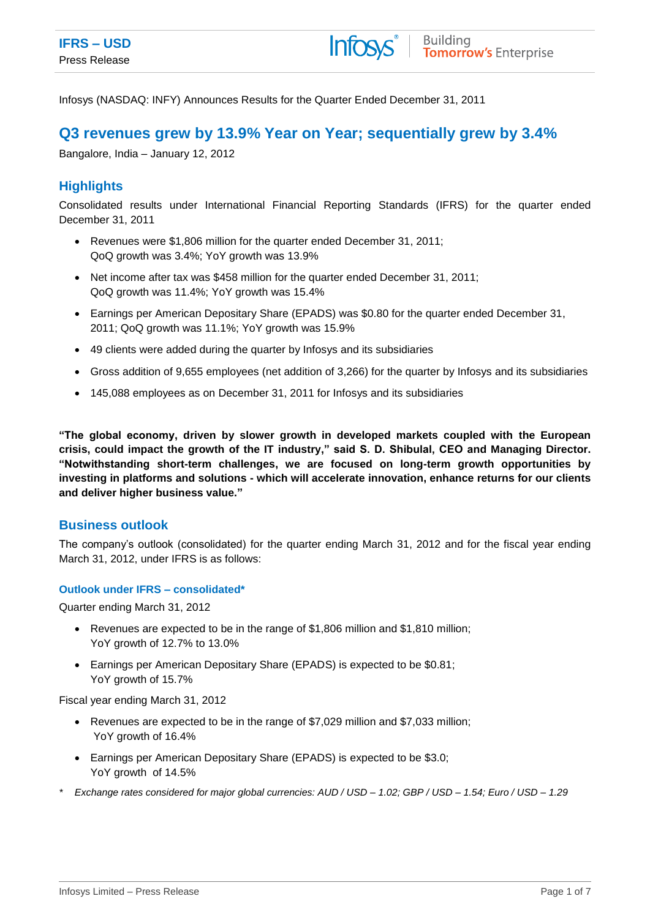Infosys (NASDAQ: INFY) Announces Results for the Quarter Ended December 31, 2011

# **Q3 revenues grew by 13.9% Year on Year; sequentially grew by 3.4%**

Bangalore, India – January 12, 2012

# **Highlights**

Consolidated results under International Financial Reporting Standards (IFRS) for the quarter ended December 31, 2011

- Revenues were \$1,806 million for the quarter ended December 31, 2011; QoQ growth was 3.4%; YoY growth was 13.9%
- Net income after tax was \$458 million for the quarter ended December 31, 2011; QoQ growth was 11.4%; YoY growth was 15.4%
- Earnings per American Depositary Share (EPADS) was \$0.80 for the quarter ended December 31, 2011; QoQ growth was 11.1%; YoY growth was 15.9%
- 49 clients were added during the quarter by Infosys and its subsidiaries
- Gross addition of 9,655 employees (net addition of 3,266) for the quarter by Infosys and its subsidiaries
- 145,088 employees as on December 31, 2011 for Infosys and its subsidiaries

**"The global economy, driven by slower growth in developed markets coupled with the European crisis, could impact the growth of the IT industry," said S. D. Shibulal, CEO and Managing Director. "Notwithstanding short-term challenges, we are focused on long-term growth opportunities by investing in platforms and solutions - which will accelerate innovation, enhance returns for our clients and deliver higher business value."**

## **Business outlook**

The company's outlook (consolidated) for the quarter ending March 31, 2012 and for the fiscal year ending March 31, 2012, under IFRS is as follows:

### **Outlook under IFRS – consolidated\***

Quarter ending March 31, 2012

- Revenues are expected to be in the range of \$1,806 million and \$1,810 million; YoY growth of 12.7% to 13.0%
- Earnings per American Depositary Share (EPADS) is expected to be \$0.81; YoY growth of 15.7%

Fiscal year ending March 31, 2012

- Revenues are expected to be in the range of \$7,029 million and \$7,033 million; YoY growth of 16.4%
- Earnings per American Depositary Share (EPADS) is expected to be \$3.0; YoY growth of 14.5%
- *\* Exchange rates considered for major global currencies: AUD / USD – 1.02; GBP / USD – 1.54; Euro / USD – 1.29*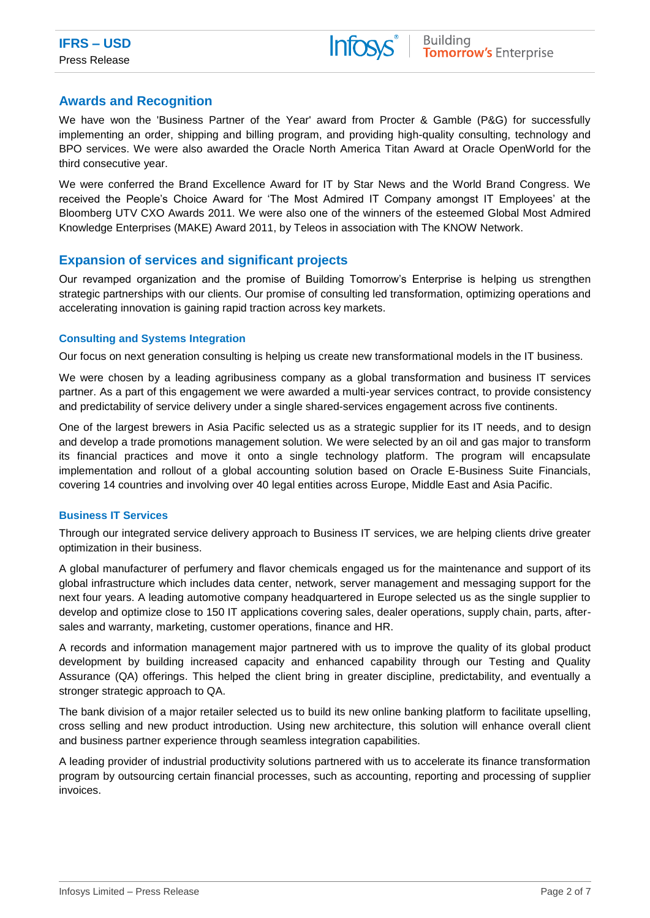# **Awards and Recognition**

We have won the 'Business Partner of the Year' award from Procter & Gamble (P&G) for successfully implementing an order, shipping and billing program, and providing high-quality consulting, technology and BPO services. We were also awarded the Oracle North America [Titan Award](http://isinfwp2/Oracle/features-opinions/Pages/titan-award-2011.aspx) at Oracle OpenWorld for the third consecutive year.

We were conferred the Brand Excellence Award for IT by Star News and the World Brand Congress. We received the People's Choice Award for 'The Most Admired IT Company amongst IT Employees' at the Bloomberg UTV CXO Awards 2011. We were also one of the winners of the esteemed Global Most Admired Knowledge Enterprises (MAKE) Award 2011, by Teleos in association with The KNOW Network.

# **Expansion of services and significant projects**

Our revamped organization and the promise of Building Tomorrow's Enterprise is helping us strengthen strategic partnerships with our clients. Our promise of consulting led transformation, optimizing operations and accelerating innovation is gaining rapid traction across key markets.

## **Consulting and Systems Integration**

Our focus on next generation consulting is helping us create new transformational models in the IT business.

We were chosen by a leading agribusiness company as a global transformation and business IT services partner. As a part of this engagement we were awarded a multi-year services contract, to provide consistency and predictability of service delivery under a single shared-services engagement across five continents.

One of the largest brewers in Asia Pacific selected us as a strategic supplier for its IT needs, and to design and develop a trade promotions management solution. We were selected by an oil and gas major to transform its financial practices and move it onto a single technology platform. The program will encapsulate implementation and rollout of a global accounting solution based on Oracle E-Business Suite Financials, covering 14 countries and involving over 40 legal entities across Europe, Middle East and Asia Pacific.

### **Business IT Services**

Through our integrated service delivery approach to Business IT services, we are helping clients drive greater optimization in their business.

A global manufacturer of perfumery and flavor chemicals engaged us for the maintenance and support of its global infrastructure which includes data center, network, server management and messaging support for the next four years. A leading automotive company headquartered in Europe selected us as the single supplier to develop and optimize close to 150 IT applications covering sales, dealer operations, supply chain, parts, aftersales and warranty, marketing, customer operations, finance and HR.

A records and information management major partnered with us to improve the quality of its global product development by building increased capacity and enhanced capability through our Testing and Quality Assurance (QA) offerings. This helped the client bring in greater discipline, predictability, and eventually a stronger strategic approach to QA.

The bank division of a major retailer selected us to build its new online banking platform to facilitate upselling, cross selling and new product introduction. Using new architecture, this solution will enhance overall client and business partner experience through seamless integration capabilities.

A leading provider of industrial productivity solutions partnered with us to accelerate its finance transformation program by outsourcing certain financial processes, such as accounting, reporting and processing of supplier invoices.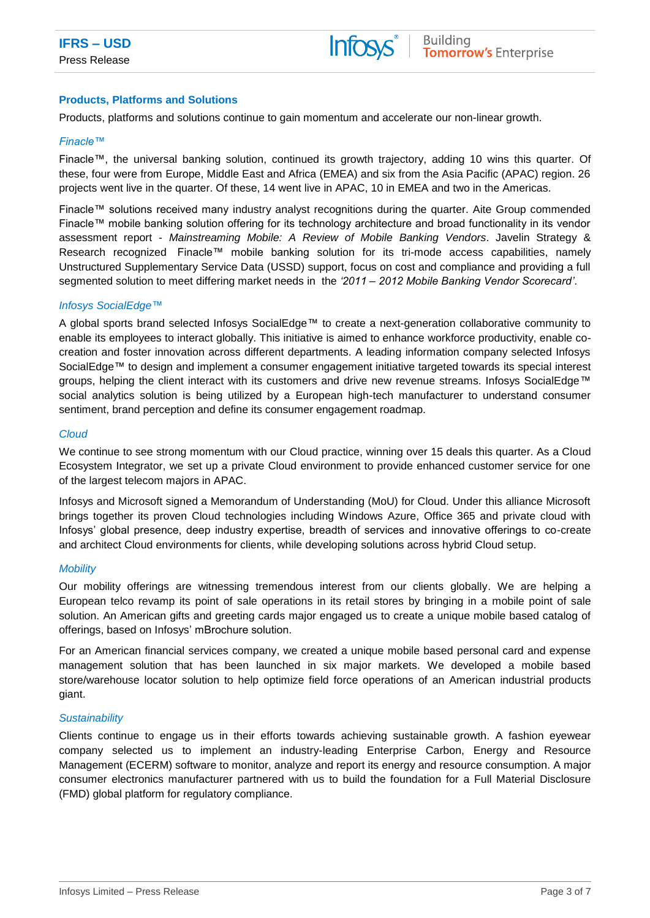### **Products, Platforms and Solutions**

Products, platforms and solutions continue to gain momentum and accelerate our non-linear growth.

#### *Finacle™*

Finacle™, the universal banking solution, continued its growth trajectory, adding 10 wins this quarter. Of these, four were from Europe, Middle East and Africa (EMEA) and six from the Asia Pacific (APAC) region. 26 projects went live in the quarter. Of these, 14 went live in APAC, 10 in EMEA and two in the Americas.

Finacle™ solutions received many industry analyst recognitions during the quarter. Aite Group commended Finacle™ mobile banking solution offering for its technology architecture and broad functionality in its vendor assessment report - *Mainstreaming Mobile: A Review of Mobile Banking Vendors*. Javelin Strategy & Research recognized Finacle™ mobile banking solution for its tri-mode access capabilities, namely Unstructured Supplementary Service Data (USSD) support, focus on cost and compliance and providing a full segmented solution to meet differing market needs in the *'2011 – 2012 Mobile Banking Vendor Scorecard'*.

#### *Infosys SocialEdge™*

A global sports brand selected Infosys SocialEdge™ to create a next-generation collaborative community to enable its employees to interact globally. This initiative is aimed to enhance workforce productivity, enable cocreation and foster innovation across different departments. A leading information company selected Infosys SocialEdge™ to design and implement a consumer engagement initiative targeted towards its special interest groups, helping the client interact with its customers and drive new revenue streams. Infosys SocialEdge™ social analytics solution is being utilized by a European high-tech manufacturer to understand consumer sentiment, brand perception and define its consumer engagement roadmap.

#### *Cloud*

We continue to see strong momentum with our Cloud practice, winning over 15 deals this quarter. As a Cloud Ecosystem Integrator, we set up a private Cloud environment to provide enhanced customer service for one of the largest telecom majors in APAC.

Infosys and Microsoft signed a Memorandum of Understanding (MoU) for Cloud. Under this alliance Microsoft brings together its proven Cloud technologies including Windows Azure, Office 365 and private cloud with Infosys' global presence, deep industry expertise, breadth of services and innovative offerings to co-create and architect Cloud environments for clients, while developing solutions across hybrid Cloud setup.

### *Mobility*

Our mobility offerings are witnessing tremendous interest from our clients globally. We are helping a European telco revamp its point of sale operations in its retail stores by bringing in a mobile point of sale solution. An American gifts and greeting cards major engaged us to create a unique mobile based catalog of offerings, based on Infosys' mBrochure solution.

For an American financial services company, we created a unique mobile based personal card and expense management solution that has been launched in six major markets. We developed a mobile based store/warehouse locator solution to help optimize field force operations of an American industrial products giant.

#### *Sustainability*

Clients continue to engage us in their efforts towards achieving sustainable growth. A fashion eyewear company selected us to implement an industry-leading Enterprise Carbon, Energy and Resource Management (ECERM) software to monitor, analyze and report its energy and resource consumption. A major consumer electronics manufacturer partnered with us to build the foundation for a Full Material Disclosure (FMD) global platform for regulatory compliance.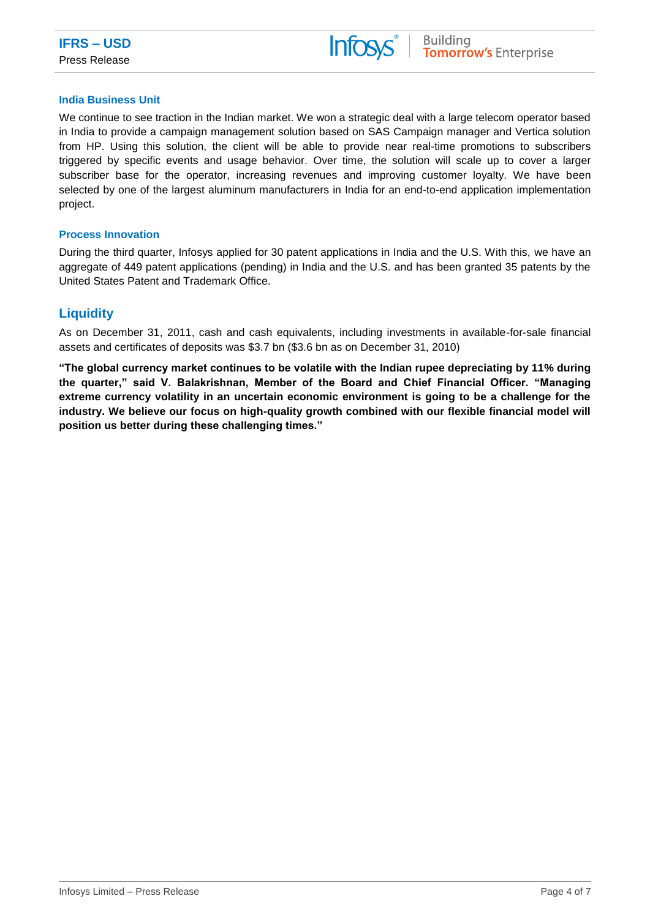

#### **India Business Unit**

We continue to see traction in the Indian market. We won a strategic deal with a large telecom operator based in India to provide a campaign management solution based on SAS Campaign manager and Vertica solution from HP. Using this solution, the client will be able to provide near real-time promotions to subscribers triggered by specific events and usage behavior. Over time, the solution will scale up to cover a larger subscriber base for the operator, increasing revenues and improving customer loyalty. We have been selected by one of the largest aluminum manufacturers in India for an end-to-end application implementation project.

#### **Process Innovation**

During the third quarter, Infosys applied for 30 patent applications in India and the U.S. With this, we have an aggregate of 449 patent applications (pending) in India and the U.S. and has been granted 35 patents by the United States Patent and Trademark Office.

# **Liquidity**

As on December 31, 2011, cash and cash equivalents, including investments in available-for-sale financial assets and certificates of deposits was \$3.7 bn (\$3.6 bn as on December 31, 2010)

**"The global currency market continues to be volatile with the Indian rupee depreciating by 11% during the quarter," said V. Balakrishnan, Member of the Board and Chief Financial Officer. "Managing extreme currency volatility in an uncertain economic environment is going to be a challenge for the industry. We believe our focus on high-quality growth combined with our flexible financial model will position us better during these challenging times."**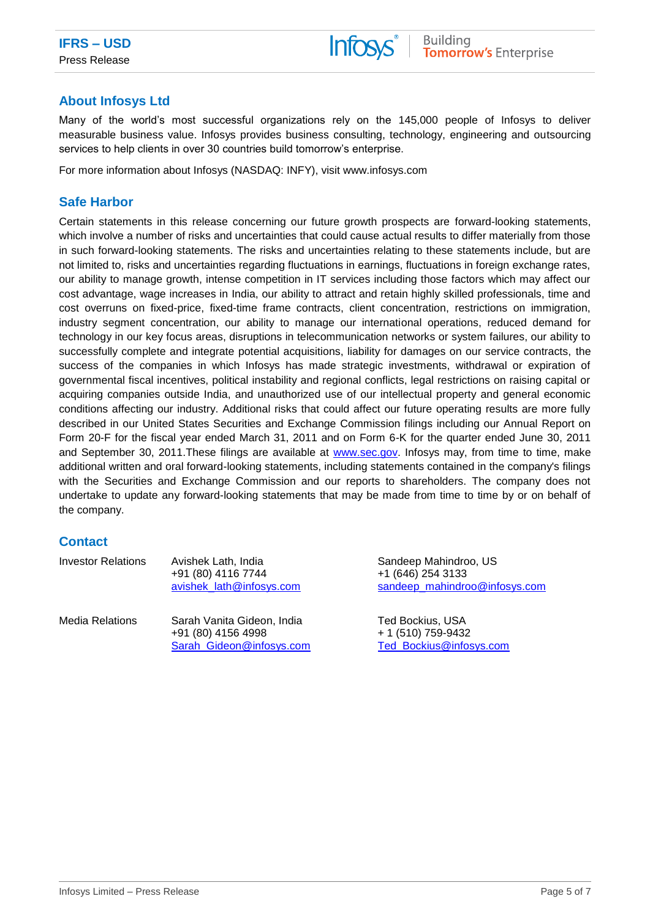

# **About Infosys Ltd**

Many of the world's most successful organizations rely on the 145,000 people of Infosys to deliver measurable business value. Infosys provides business consulting, technology, engineering and outsourcing services to help clients in over 30 countries build tomorrow's enterprise.

For more information about Infosys (NASDAQ: INFY), visit www.infosys.com

## **Safe Harbor**

Certain statements in this release concerning our future growth prospects are forward-looking statements, which involve a number of risks and uncertainties that could cause actual results to differ materially from those in such forward-looking statements. The risks and uncertainties relating to these statements include, but are not limited to, risks and uncertainties regarding fluctuations in earnings, fluctuations in foreign exchange rates, our ability to manage growth, intense competition in IT services including those factors which may affect our cost advantage, wage increases in India, our ability to attract and retain highly skilled professionals, time and cost overruns on fixed-price, fixed-time frame contracts, client concentration, restrictions on immigration, industry segment concentration, our ability to manage our international operations, reduced demand for technology in our key focus areas, disruptions in telecommunication networks or system failures, our ability to successfully complete and integrate potential acquisitions, liability for damages on our service contracts, the success of the companies in which Infosys has made strategic investments, withdrawal or expiration of governmental fiscal incentives, political instability and regional conflicts, legal restrictions on raising capital or acquiring companies outside India, and unauthorized use of our intellectual property and general economic conditions affecting our industry. Additional risks that could affect our future operating results are more fully described in our United States Securities and Exchange Commission filings including our Annual Report on Form 20-F for the fiscal year ended March 31, 2011 and on Form 6-K for the quarter ended June 30, 2011 and September 30, 2011.These filings are available at [www.sec.gov.](http://www.sec.gov/) Infosys may, from time to time, make additional written and oral forward-looking statements, including statements contained in the company's filings with the Securities and Exchange Commission and our reports to shareholders. The company does not undertake to update any forward-looking statements that may be made from time to time by or on behalf of the company.

# **Contact**

| Investor Relations | Avishek Lath, India<br>+91 (80) 4116 7744<br>avishek lath@infosys.com        |
|--------------------|------------------------------------------------------------------------------|
| Media Relations    | Sarah Vanita Gideon, India<br>+91 (80) 4156 4998<br>Sarah Gideon@infosys.com |

Sandeep Mahindroo, US +1 (646) 254 3133 [sandeep\\_mahindroo@infosys.com](mailto:sandeep_mahindroo@infosys.com)

Ted Bockius, USA + 1 (510) 759-9432 [Ted\\_Bockius@infosys.com](mailto:Ted_Bockius@infosys.com)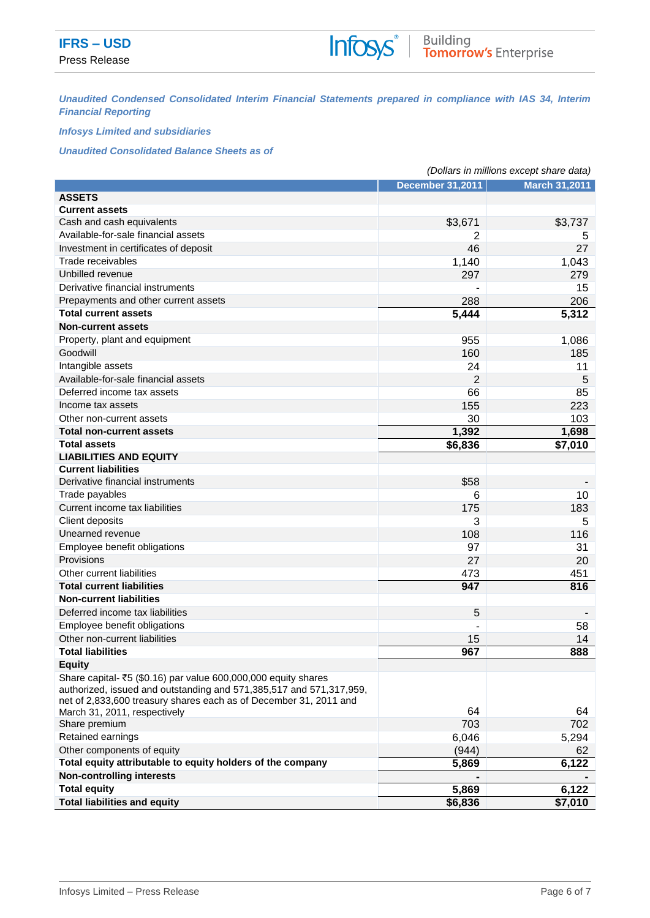*Unaudited Condensed Consolidated Interim Financial Statements prepared in compliance with IAS 34, Interim Financial Reporting*

### *Infosys Limited and subsidiaries*

*Unaudited Consolidated Balance Sheets as of*

|                                                                                                                                                                                                            | (Dollars in millions except share data) |                      |  |  |
|------------------------------------------------------------------------------------------------------------------------------------------------------------------------------------------------------------|-----------------------------------------|----------------------|--|--|
|                                                                                                                                                                                                            | <b>December 31,2011</b>                 | <b>March 31,2011</b> |  |  |
| <b>ASSETS</b>                                                                                                                                                                                              |                                         |                      |  |  |
| <b>Current assets</b>                                                                                                                                                                                      |                                         |                      |  |  |
| Cash and cash equivalents                                                                                                                                                                                  | \$3,671                                 | \$3,737              |  |  |
| Available-for-sale financial assets                                                                                                                                                                        | 2                                       | 5                    |  |  |
| Investment in certificates of deposit                                                                                                                                                                      | 46                                      | 27                   |  |  |
| Trade receivables                                                                                                                                                                                          | 1,140                                   | 1,043                |  |  |
| Unbilled revenue                                                                                                                                                                                           | 297                                     | 279                  |  |  |
| Derivative financial instruments                                                                                                                                                                           |                                         | 15                   |  |  |
| Prepayments and other current assets                                                                                                                                                                       | 288                                     | 206                  |  |  |
| <b>Total current assets</b>                                                                                                                                                                                | $\overline{5,}444$                      | 5,312                |  |  |
| <b>Non-current assets</b>                                                                                                                                                                                  |                                         |                      |  |  |
| Property, plant and equipment                                                                                                                                                                              | 955                                     | 1,086                |  |  |
| Goodwill                                                                                                                                                                                                   | 160                                     | 185                  |  |  |
| Intangible assets                                                                                                                                                                                          | 24                                      | 11                   |  |  |
| Available-for-sale financial assets                                                                                                                                                                        | $\overline{2}$                          | 5                    |  |  |
| Deferred income tax assets                                                                                                                                                                                 | 66                                      | 85                   |  |  |
| Income tax assets                                                                                                                                                                                          | 155                                     | 223                  |  |  |
| Other non-current assets                                                                                                                                                                                   | 30                                      | 103                  |  |  |
| <b>Total non-current assets</b>                                                                                                                                                                            | 1,392                                   | 1,698                |  |  |
| <b>Total assets</b>                                                                                                                                                                                        | \$6,836                                 | \$7,010              |  |  |
| <b>LIABILITIES AND EQUITY</b>                                                                                                                                                                              |                                         |                      |  |  |
| <b>Current liabilities</b>                                                                                                                                                                                 |                                         |                      |  |  |
| Derivative financial instruments                                                                                                                                                                           | \$58                                    |                      |  |  |
| Trade payables                                                                                                                                                                                             | 6                                       | 10                   |  |  |
| Current income tax liabilities                                                                                                                                                                             | 175                                     | 183                  |  |  |
| Client deposits                                                                                                                                                                                            | 3                                       | 5                    |  |  |
| Unearned revenue                                                                                                                                                                                           | 108                                     | 116                  |  |  |
| Employee benefit obligations                                                                                                                                                                               | 97                                      | 31                   |  |  |
| Provisions                                                                                                                                                                                                 | 27                                      | 20                   |  |  |
| Other current liabilities                                                                                                                                                                                  | 473                                     | 451                  |  |  |
| <b>Total current liabilities</b>                                                                                                                                                                           | 947                                     | 816                  |  |  |
| <b>Non-current liabilities</b>                                                                                                                                                                             |                                         |                      |  |  |
| Deferred income tax liabilities                                                                                                                                                                            | 5                                       |                      |  |  |
| Employee benefit obligations                                                                                                                                                                               |                                         | 58                   |  |  |
| Other non-current liabilities                                                                                                                                                                              | 15                                      | 14                   |  |  |
| <b>Total liabilities</b>                                                                                                                                                                                   | 967                                     | 888                  |  |  |
| <b>Equity</b>                                                                                                                                                                                              |                                         |                      |  |  |
| Share capital- ₹5 (\$0.16) par value 600,000,000 equity shares<br>authorized, issued and outstanding and 571,385,517 and 571,317,959,<br>net of 2,833,600 treasury shares each as of December 31, 2011 and |                                         |                      |  |  |
| March 31, 2011, respectively                                                                                                                                                                               | 64                                      | 64                   |  |  |
| Share premium                                                                                                                                                                                              | 703                                     | 702                  |  |  |
| Retained earnings                                                                                                                                                                                          | 6,046                                   | 5,294                |  |  |
| Other components of equity                                                                                                                                                                                 | (944)                                   | 62                   |  |  |
| Total equity attributable to equity holders of the company                                                                                                                                                 | 5,869                                   | 6,122                |  |  |
| <b>Non-controlling interests</b>                                                                                                                                                                           |                                         |                      |  |  |
| <b>Total equity</b>                                                                                                                                                                                        | 5,869                                   | 6,122                |  |  |
| <b>Total liabilities and equity</b>                                                                                                                                                                        | \$6,836                                 | \$7,010              |  |  |